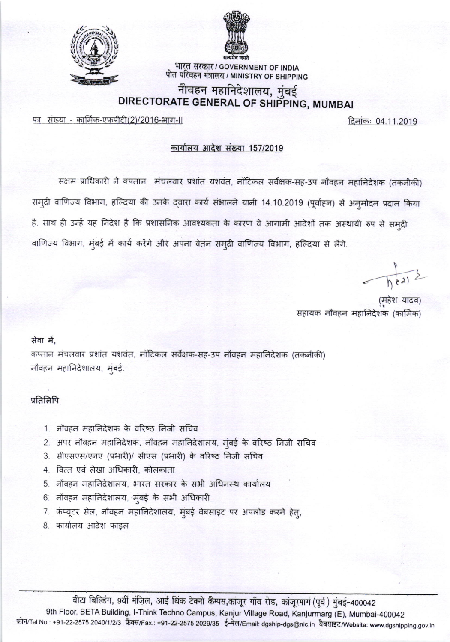



भारत सरकार / GOVERNMENT OF INDIA पोत परिवहन मंत्रालय / MINISTRY OF SHIPPING

## नौवहन महानिदेशालय, मुंबई DIRECTORATE GENERAL OF SHIPPING, MUMBAI

फा. संख्या - कार्मिक-एफपीटी(2)/2016-भाग-॥

दिनांकः 04.11.2019

### कार्यालय आदेश संख्या 157/2019

सक्षम प्राधिकारी ने क्पतान) मंचलवार प्रशांत यशवंत, नॉटिकल सर्वेक्षक-सह-उप नौवहन महानिदेशक (तकनीकी) समुद्री वाणिज्य विभाग, हल्दिया की उनके द्वारा कार्य संभालने यानी 14.10.2019 (पूर्वाहन) से अनुमोदन प्रदान किया है. साथ ही उन्हें यह निदेश है कि प्रशासनिक आवश्यकता के कारण वे आगामी आदेशों तक अस्थायी रुप से समुद्री वाणिज्य विभाग, मुंबई में कार्य करेंगे और अपना वेतन समुद्री वाणिज्य विभाग, हल्दिया से लेंगे.

 $\sqrt{h^2}$ 

(महेश यादव) सहायक नौवहन महानिदेशक (कार्मिक)

#### सेवा में.

कप्तान मंचलवार प्रशांत यशवंत, नॉटिकल सर्वेक्षक-सह-उप नौवहन महानिदेशक (तकनीकी) नौवहन महानिदेशालय, मुंबई.

### प्रतिलिपि

- 1. नौवहन महानिदेशक के वरिष्ठ निजी सचिव
- 2. अपर नौवहन महानिदेशक, नौवहन महानिदेशालय, मुंबई के वरिष्ठ निजी सचिव
- 3. सीएसएस/एनए (प्रभारी)/ सीएस (प्रभारी) के वरिष्ठ निजी सचिव
- 4. वित्त एवं लेखा अधिकारी, कोलकाता
- 5. नौवहन महानिदेशालय, भारत सरकार के सभी अधिनस्थ कार्यालय
- 6. नौवहन महानिदेशालय, मुंबई के सभी अधिकारी
- 7. कंप्यूटर सेल, नौवहन महानिदेशालय, मुंबई वेबसाइट पर अपलोड करने हेतु,
- 8. कार्यालय आदेश फाइल

बीटा बिल्डिंग, 9वीं मंज़िल, आई थिंक टेक्नो कैम्पस,कांजूर गाँव रोड, कांजूरमार्ग (पूर्व) मुंबई-400042 9th Floor, BETA Building, I-Think Techno Campus, Kanjur Village Road, Kanjurmarg (E), Mumbai-400042 फ़ोन/Tel No.: +91-22-2575 2040/1/2/3 फ़ैक्स/Fax.: +91-22-2575 2029/35 ई-मेल/Email: dgship-dgs@nic.in वैबसाइट/Website: www.dgshipping.gov.in